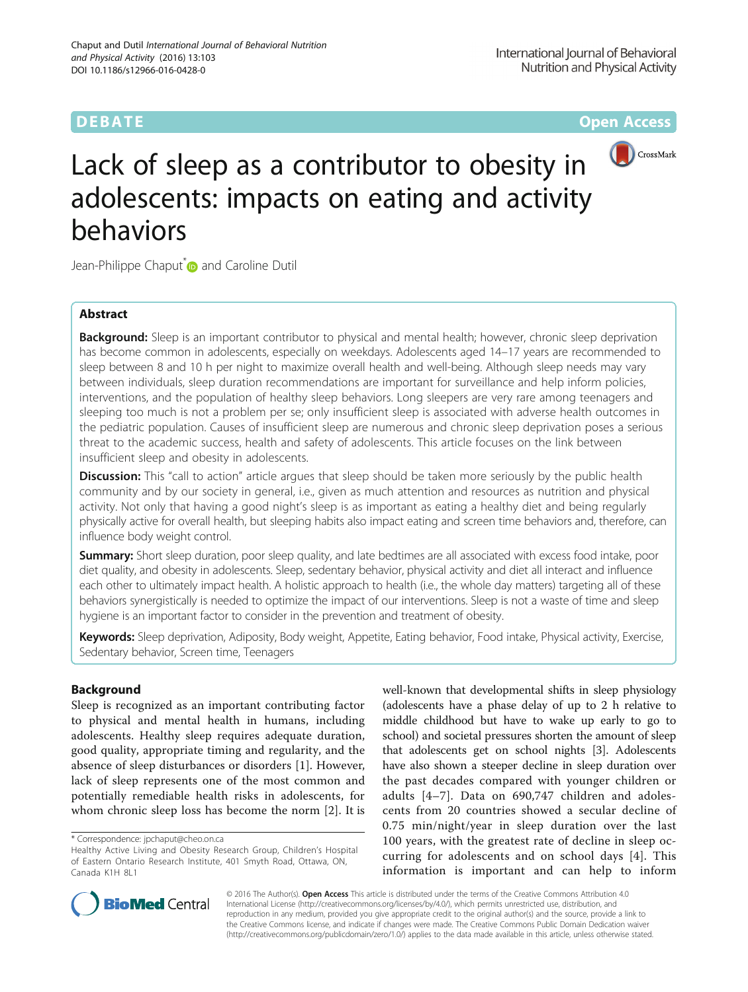**DEBATE CONSERVATION CONSERVATION** 



# Lack of sleep as a contributor to obesity in adolescents: impacts on eating and activity behaviors

Jean-Philippe Chaput<sup>\*</sup> and Caroline Dutil

## Abstract

**Background:** Sleep is an important contributor to physical and mental health; however, chronic sleep deprivation has become common in adolescents, especially on weekdays. Adolescents aged 14–17 years are recommended to sleep between 8 and 10 h per night to maximize overall health and well-being. Although sleep needs may vary between individuals, sleep duration recommendations are important for surveillance and help inform policies, interventions, and the population of healthy sleep behaviors. Long sleepers are very rare among teenagers and sleeping too much is not a problem per se; only insufficient sleep is associated with adverse health outcomes in the pediatric population. Causes of insufficient sleep are numerous and chronic sleep deprivation poses a serious threat to the academic success, health and safety of adolescents. This article focuses on the link between insufficient sleep and obesity in adolescents.

**Discussion:** This "call to action" article argues that sleep should be taken more seriously by the public health community and by our society in general, i.e., given as much attention and resources as nutrition and physical activity. Not only that having a good night's sleep is as important as eating a healthy diet and being regularly physically active for overall health, but sleeping habits also impact eating and screen time behaviors and, therefore, can influence body weight control.

**Summary:** Short sleep duration, poor sleep quality, and late bedtimes are all associated with excess food intake, poor diet quality, and obesity in adolescents. Sleep, sedentary behavior, physical activity and diet all interact and influence each other to ultimately impact health. A holistic approach to health (i.e., the whole day matters) targeting all of these behaviors synergistically is needed to optimize the impact of our interventions. Sleep is not a waste of time and sleep hygiene is an important factor to consider in the prevention and treatment of obesity.

Keywords: Sleep deprivation, Adiposity, Body weight, Appetite, Eating behavior, Food intake, Physical activity, Exercise, Sedentary behavior, Screen time, Teenagers

#### Background

Sleep is recognized as an important contributing factor to physical and mental health in humans, including adolescents. Healthy sleep requires adequate duration, good quality, appropriate timing and regularity, and the absence of sleep disturbances or disorders [[1](#page-7-0)]. However, lack of sleep represents one of the most common and potentially remediable health risks in adolescents, for whom chronic sleep loss has become the norm [\[2](#page-7-0)]. It is

\* Correspondence: [jpchaput@cheo.on.ca](mailto:jpchaput@cheo.on.ca)

well-known that developmental shifts in sleep physiology (adolescents have a phase delay of up to 2 h relative to middle childhood but have to wake up early to go to school) and societal pressures shorten the amount of sleep that adolescents get on school nights [[3\]](#page-7-0). Adolescents have also shown a steeper decline in sleep duration over the past decades compared with younger children or adults [[4](#page-7-0)–[7\]](#page-7-0). Data on 690,747 children and adolescents from 20 countries showed a secular decline of 0.75 min/night/year in sleep duration over the last 100 years, with the greatest rate of decline in sleep occurring for adolescents and on school days [[4\]](#page-7-0). This information is important and can help to inform



© 2016 The Author(s). Open Access This article is distributed under the terms of the Creative Commons Attribution 4.0 International License [\(http://creativecommons.org/licenses/by/4.0/](http://creativecommons.org/licenses/by/4.0/)), which permits unrestricted use, distribution, and reproduction in any medium, provided you give appropriate credit to the original author(s) and the source, provide a link to the Creative Commons license, and indicate if changes were made. The Creative Commons Public Domain Dedication waiver [\(http://creativecommons.org/publicdomain/zero/1.0/](http://creativecommons.org/publicdomain/zero/1.0/)) applies to the data made available in this article, unless otherwise stated.

Healthy Active Living and Obesity Research Group, Children's Hospital of Eastern Ontario Research Institute, 401 Smyth Road, Ottawa, ON, Canada K1H 8L1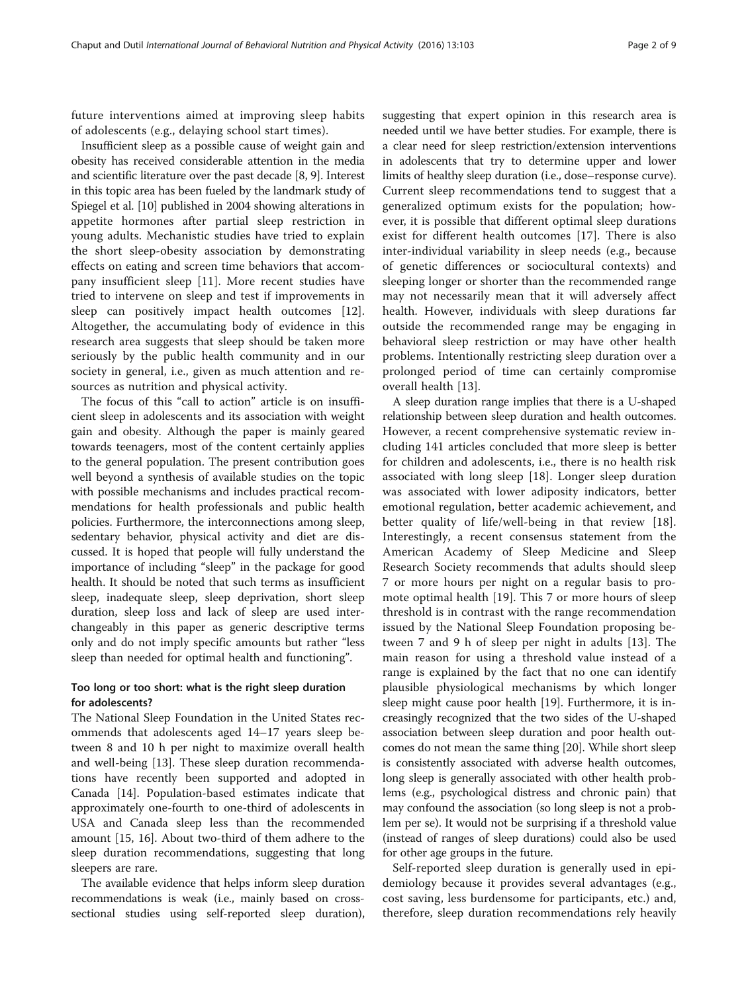future interventions aimed at improving sleep habits of adolescents (e.g., delaying school start times).

Insufficient sleep as a possible cause of weight gain and obesity has received considerable attention in the media and scientific literature over the past decade [\[8, 9](#page-7-0)]. Interest in this topic area has been fueled by the landmark study of Spiegel et al. [[10](#page-7-0)] published in 2004 showing alterations in appetite hormones after partial sleep restriction in young adults. Mechanistic studies have tried to explain the short sleep-obesity association by demonstrating effects on eating and screen time behaviors that accompany insufficient sleep [[11\]](#page-7-0). More recent studies have tried to intervene on sleep and test if improvements in sleep can positively impact health outcomes [\[12](#page-7-0)]. Altogether, the accumulating body of evidence in this research area suggests that sleep should be taken more seriously by the public health community and in our society in general, i.e., given as much attention and resources as nutrition and physical activity.

The focus of this "call to action" article is on insufficient sleep in adolescents and its association with weight gain and obesity. Although the paper is mainly geared towards teenagers, most of the content certainly applies to the general population. The present contribution goes well beyond a synthesis of available studies on the topic with possible mechanisms and includes practical recommendations for health professionals and public health policies. Furthermore, the interconnections among sleep, sedentary behavior, physical activity and diet are discussed. It is hoped that people will fully understand the importance of including "sleep" in the package for good health. It should be noted that such terms as insufficient sleep, inadequate sleep, sleep deprivation, short sleep duration, sleep loss and lack of sleep are used interchangeably in this paper as generic descriptive terms only and do not imply specific amounts but rather "less sleep than needed for optimal health and functioning".

#### Too long or too short: what is the right sleep duration for adolescents?

The National Sleep Foundation in the United States recommends that adolescents aged 14–17 years sleep between 8 and 10 h per night to maximize overall health and well-being [\[13](#page-7-0)]. These sleep duration recommendations have recently been supported and adopted in Canada [[14\]](#page-7-0). Population-based estimates indicate that approximately one-fourth to one-third of adolescents in USA and Canada sleep less than the recommended amount [[15, 16\]](#page-7-0). About two-third of them adhere to the sleep duration recommendations, suggesting that long sleepers are rare.

The available evidence that helps inform sleep duration recommendations is weak (i.e., mainly based on crosssectional studies using self-reported sleep duration), suggesting that expert opinion in this research area is needed until we have better studies. For example, there is a clear need for sleep restriction/extension interventions in adolescents that try to determine upper and lower limits of healthy sleep duration (i.e., dose–response curve). Current sleep recommendations tend to suggest that a generalized optimum exists for the population; however, it is possible that different optimal sleep durations exist for different health outcomes [[17](#page-7-0)]. There is also inter-individual variability in sleep needs (e.g., because of genetic differences or sociocultural contexts) and sleeping longer or shorter than the recommended range may not necessarily mean that it will adversely affect health. However, individuals with sleep durations far outside the recommended range may be engaging in behavioral sleep restriction or may have other health problems. Intentionally restricting sleep duration over a prolonged period of time can certainly compromise overall health [\[13](#page-7-0)].

A sleep duration range implies that there is a U-shaped relationship between sleep duration and health outcomes. However, a recent comprehensive systematic review including 141 articles concluded that more sleep is better for children and adolescents, i.e., there is no health risk associated with long sleep [[18\]](#page-7-0). Longer sleep duration was associated with lower adiposity indicators, better emotional regulation, better academic achievement, and better quality of life/well-being in that review [[18](#page-7-0)]. Interestingly, a recent consensus statement from the American Academy of Sleep Medicine and Sleep Research Society recommends that adults should sleep 7 or more hours per night on a regular basis to promote optimal health [[19\]](#page-7-0). This 7 or more hours of sleep threshold is in contrast with the range recommendation issued by the National Sleep Foundation proposing between 7 and 9 h of sleep per night in adults [[13\]](#page-7-0). The main reason for using a threshold value instead of a range is explained by the fact that no one can identify plausible physiological mechanisms by which longer sleep might cause poor health [[19](#page-7-0)]. Furthermore, it is increasingly recognized that the two sides of the U-shaped association between sleep duration and poor health outcomes do not mean the same thing [\[20\]](#page-7-0). While short sleep is consistently associated with adverse health outcomes, long sleep is generally associated with other health problems (e.g., psychological distress and chronic pain) that may confound the association (so long sleep is not a problem per se). It would not be surprising if a threshold value (instead of ranges of sleep durations) could also be used for other age groups in the future.

Self-reported sleep duration is generally used in epidemiology because it provides several advantages (e.g., cost saving, less burdensome for participants, etc.) and, therefore, sleep duration recommendations rely heavily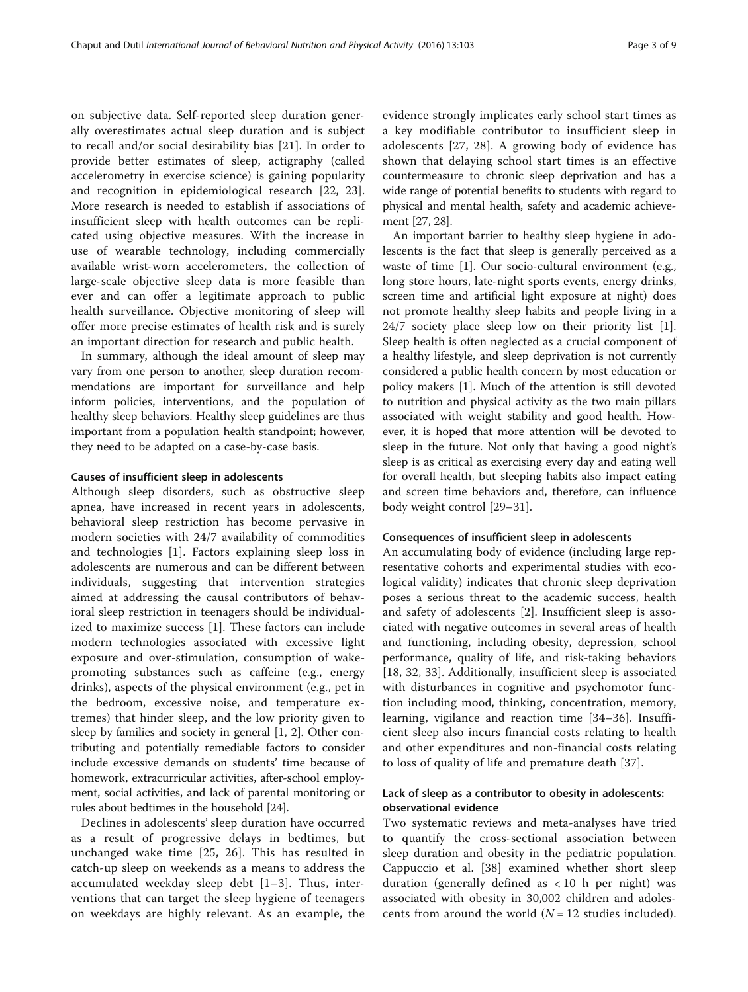on subjective data. Self-reported sleep duration generally overestimates actual sleep duration and is subject to recall and/or social desirability bias [[21\]](#page-7-0). In order to provide better estimates of sleep, actigraphy (called accelerometry in exercise science) is gaining popularity and recognition in epidemiological research [[22, 23](#page-7-0)]. More research is needed to establish if associations of insufficient sleep with health outcomes can be replicated using objective measures. With the increase in use of wearable technology, including commercially available wrist-worn accelerometers, the collection of large-scale objective sleep data is more feasible than ever and can offer a legitimate approach to public health surveillance. Objective monitoring of sleep will offer more precise estimates of health risk and is surely an important direction for research and public health.

In summary, although the ideal amount of sleep may vary from one person to another, sleep duration recommendations are important for surveillance and help inform policies, interventions, and the population of healthy sleep behaviors. Healthy sleep guidelines are thus important from a population health standpoint; however, they need to be adapted on a case-by-case basis.

#### Causes of insufficient sleep in adolescents

Although sleep disorders, such as obstructive sleep apnea, have increased in recent years in adolescents, behavioral sleep restriction has become pervasive in modern societies with 24/7 availability of commodities and technologies [\[1](#page-7-0)]. Factors explaining sleep loss in adolescents are numerous and can be different between individuals, suggesting that intervention strategies aimed at addressing the causal contributors of behavioral sleep restriction in teenagers should be individualized to maximize success [\[1](#page-7-0)]. These factors can include modern technologies associated with excessive light exposure and over-stimulation, consumption of wakepromoting substances such as caffeine (e.g., energy drinks), aspects of the physical environment (e.g., pet in the bedroom, excessive noise, and temperature extremes) that hinder sleep, and the low priority given to sleep by families and society in general [[1](#page-7-0), [2\]](#page-7-0). Other contributing and potentially remediable factors to consider include excessive demands on students' time because of homework, extracurricular activities, after-school employment, social activities, and lack of parental monitoring or rules about bedtimes in the household [\[24\]](#page-7-0).

Declines in adolescents' sleep duration have occurred as a result of progressive delays in bedtimes, but unchanged wake time [[25, 26](#page-7-0)]. This has resulted in catch-up sleep on weekends as a means to address the accumulated weekday sleep debt [[1](#page-7-0)–[3\]](#page-7-0). Thus, interventions that can target the sleep hygiene of teenagers on weekdays are highly relevant. As an example, the evidence strongly implicates early school start times as a key modifiable contributor to insufficient sleep in adolescents [[27, 28](#page-7-0)]. A growing body of evidence has shown that delaying school start times is an effective countermeasure to chronic sleep deprivation and has a wide range of potential benefits to students with regard to physical and mental health, safety and academic achievement [\[27, 28](#page-7-0)].

An important barrier to healthy sleep hygiene in adolescents is the fact that sleep is generally perceived as a waste of time [[1\]](#page-7-0). Our socio-cultural environment (e.g., long store hours, late-night sports events, energy drinks, screen time and artificial light exposure at night) does not promote healthy sleep habits and people living in a 24/7 society place sleep low on their priority list [\[1](#page-7-0)]. Sleep health is often neglected as a crucial component of a healthy lifestyle, and sleep deprivation is not currently considered a public health concern by most education or policy makers [[1](#page-7-0)]. Much of the attention is still devoted to nutrition and physical activity as the two main pillars associated with weight stability and good health. However, it is hoped that more attention will be devoted to sleep in the future. Not only that having a good night's sleep is as critical as exercising every day and eating well for overall health, but sleeping habits also impact eating and screen time behaviors and, therefore, can influence body weight control [[29](#page-7-0)–[31\]](#page-7-0).

#### Consequences of insufficient sleep in adolescents

An accumulating body of evidence (including large representative cohorts and experimental studies with ecological validity) indicates that chronic sleep deprivation poses a serious threat to the academic success, health and safety of adolescents [[2\]](#page-7-0). Insufficient sleep is associated with negative outcomes in several areas of health and functioning, including obesity, depression, school performance, quality of life, and risk-taking behaviors [[18, 32](#page-7-0), [33\]](#page-7-0). Additionally, insufficient sleep is associated with disturbances in cognitive and psychomotor function including mood, thinking, concentration, memory, learning, vigilance and reaction time [\[34](#page-7-0)–[36](#page-7-0)]. Insufficient sleep also incurs financial costs relating to health and other expenditures and non-financial costs relating to loss of quality of life and premature death [\[37](#page-7-0)].

#### Lack of sleep as a contributor to obesity in adolescents: observational evidence

Two systematic reviews and meta-analyses have tried to quantify the cross-sectional association between sleep duration and obesity in the pediatric population. Cappuccio et al. [\[38](#page-7-0)] examined whether short sleep duration (generally defined as  $<$  10 h per night) was associated with obesity in 30,002 children and adolescents from around the world  $(N = 12$  studies included).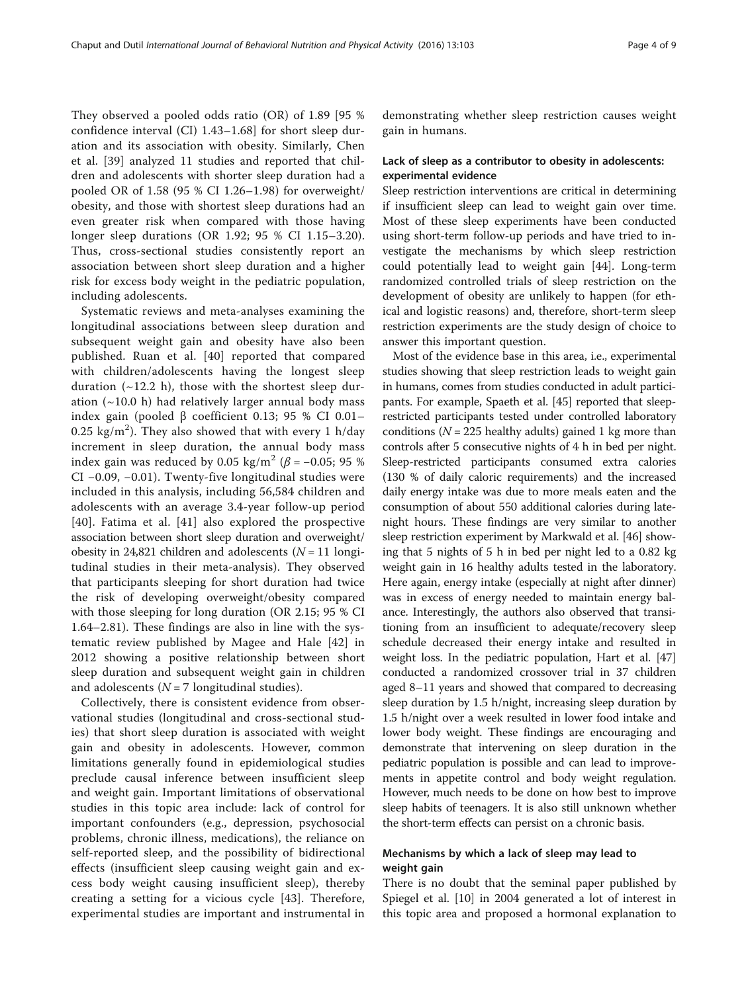They observed a pooled odds ratio (OR) of 1.89 [95 % confidence interval (CI) 1.43–1.68] for short sleep duration and its association with obesity. Similarly, Chen et al. [[39\]](#page-7-0) analyzed 11 studies and reported that children and adolescents with shorter sleep duration had a pooled OR of 1.58 (95 % CI 1.26–1.98) for overweight/ obesity, and those with shortest sleep durations had an even greater risk when compared with those having longer sleep durations (OR 1.92; 95 % CI 1.15–3.20). Thus, cross-sectional studies consistently report an association between short sleep duration and a higher risk for excess body weight in the pediatric population, including adolescents.

Systematic reviews and meta-analyses examining the longitudinal associations between sleep duration and subsequent weight gain and obesity have also been published. Ruan et al. [\[40\]](#page-7-0) reported that compared with children/adolescents having the longest sleep duration  $(\sim 12.2 \text{ h})$ , those with the shortest sleep duration  $(\sim 10.0 \text{ h})$  had relatively larger annual body mass index gain (pooled β coefficient 0.13; 95 % CI 0.01– 0.25 kg/m<sup>2</sup>). They also showed that with every 1 h/day increment in sleep duration, the annual body mass index gain was reduced by 0.05 kg/m<sup>2</sup> ( $\beta$  = -0.05; 95 %) CI −0.09, −0.01). Twenty-five longitudinal studies were included in this analysis, including 56,584 children and adolescents with an average 3.4-year follow-up period [[40](#page-7-0)]. Fatima et al. [[41\]](#page-7-0) also explored the prospective association between short sleep duration and overweight/ obesity in 24,821 children and adolescents ( $N = 11$  longitudinal studies in their meta-analysis). They observed that participants sleeping for short duration had twice the risk of developing overweight/obesity compared with those sleeping for long duration (OR 2.15; 95 % CI 1.64–2.81). These findings are also in line with the systematic review published by Magee and Hale [\[42](#page-7-0)] in 2012 showing a positive relationship between short sleep duration and subsequent weight gain in children and adolescents ( $N = 7$  longitudinal studies).

Collectively, there is consistent evidence from observational studies (longitudinal and cross-sectional studies) that short sleep duration is associated with weight gain and obesity in adolescents. However, common limitations generally found in epidemiological studies preclude causal inference between insufficient sleep and weight gain. Important limitations of observational studies in this topic area include: lack of control for important confounders (e.g., depression, psychosocial problems, chronic illness, medications), the reliance on self-reported sleep, and the possibility of bidirectional effects (insufficient sleep causing weight gain and excess body weight causing insufficient sleep), thereby creating a setting for a vicious cycle [[43\]](#page-7-0). Therefore, experimental studies are important and instrumental in

demonstrating whether sleep restriction causes weight gain in humans.

#### Lack of sleep as a contributor to obesity in adolescents: experimental evidence

Sleep restriction interventions are critical in determining if insufficient sleep can lead to weight gain over time. Most of these sleep experiments have been conducted using short-term follow-up periods and have tried to investigate the mechanisms by which sleep restriction could potentially lead to weight gain [\[44](#page-7-0)]. Long-term randomized controlled trials of sleep restriction on the development of obesity are unlikely to happen (for ethical and logistic reasons) and, therefore, short-term sleep restriction experiments are the study design of choice to answer this important question.

Most of the evidence base in this area, i.e., experimental studies showing that sleep restriction leads to weight gain in humans, comes from studies conducted in adult participants. For example, Spaeth et al. [[45\]](#page-7-0) reported that sleeprestricted participants tested under controlled laboratory conditions ( $N = 225$  healthy adults) gained 1 kg more than controls after 5 consecutive nights of 4 h in bed per night. Sleep-restricted participants consumed extra calories (130 % of daily caloric requirements) and the increased daily energy intake was due to more meals eaten and the consumption of about 550 additional calories during latenight hours. These findings are very similar to another sleep restriction experiment by Markwald et al. [[46](#page-7-0)] showing that 5 nights of 5 h in bed per night led to a 0.82 kg weight gain in 16 healthy adults tested in the laboratory. Here again, energy intake (especially at night after dinner) was in excess of energy needed to maintain energy balance. Interestingly, the authors also observed that transitioning from an insufficient to adequate/recovery sleep schedule decreased their energy intake and resulted in weight loss. In the pediatric population, Hart et al. [[47](#page-7-0)] conducted a randomized crossover trial in 37 children aged 8–11 years and showed that compared to decreasing sleep duration by 1.5 h/night, increasing sleep duration by 1.5 h/night over a week resulted in lower food intake and lower body weight. These findings are encouraging and demonstrate that intervening on sleep duration in the pediatric population is possible and can lead to improvements in appetite control and body weight regulation. However, much needs to be done on how best to improve sleep habits of teenagers. It is also still unknown whether the short-term effects can persist on a chronic basis.

#### Mechanisms by which a lack of sleep may lead to weight gain

There is no doubt that the seminal paper published by Spiegel et al. [\[10\]](#page-7-0) in 2004 generated a lot of interest in this topic area and proposed a hormonal explanation to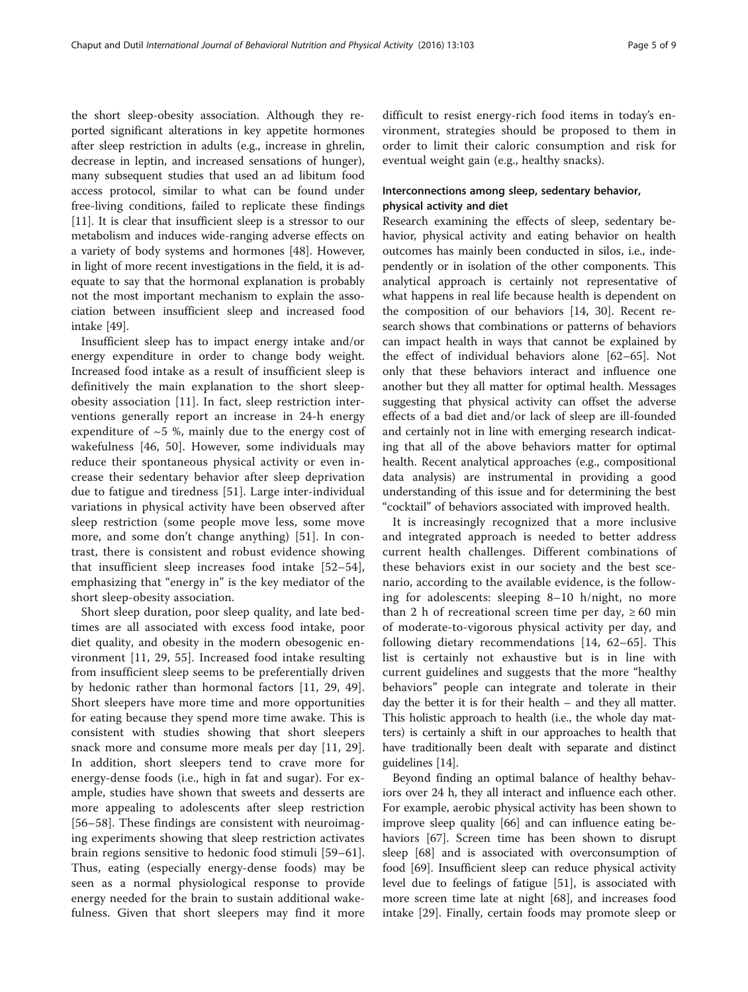the short sleep-obesity association. Although they reported significant alterations in key appetite hormones after sleep restriction in adults (e.g., increase in ghrelin, decrease in leptin, and increased sensations of hunger), many subsequent studies that used an ad libitum food access protocol, similar to what can be found under free-living conditions, failed to replicate these findings [[11\]](#page-7-0). It is clear that insufficient sleep is a stressor to our metabolism and induces wide-ranging adverse effects on a variety of body systems and hormones [[48](#page-8-0)]. However, in light of more recent investigations in the field, it is adequate to say that the hormonal explanation is probably not the most important mechanism to explain the association between insufficient sleep and increased food intake [[49](#page-8-0)].

Insufficient sleep has to impact energy intake and/or energy expenditure in order to change body weight. Increased food intake as a result of insufficient sleep is definitively the main explanation to the short sleepobesity association [[11\]](#page-7-0). In fact, sleep restriction interventions generally report an increase in 24-h energy expenditure of  $\sim$  5 %, mainly due to the energy cost of wakefulness [[46,](#page-7-0) [50\]](#page-8-0). However, some individuals may reduce their spontaneous physical activity or even increase their sedentary behavior after sleep deprivation due to fatigue and tiredness [[51\]](#page-8-0). Large inter-individual variations in physical activity have been observed after sleep restriction (some people move less, some move more, and some don't change anything) [\[51](#page-8-0)]. In contrast, there is consistent and robust evidence showing that insufficient sleep increases food intake [[52](#page-8-0)–[54](#page-8-0)], emphasizing that "energy in" is the key mediator of the short sleep-obesity association.

Short sleep duration, poor sleep quality, and late bedtimes are all associated with excess food intake, poor diet quality, and obesity in the modern obesogenic environment [[11](#page-7-0), [29](#page-7-0), [55](#page-8-0)]. Increased food intake resulting from insufficient sleep seems to be preferentially driven by hedonic rather than hormonal factors [[11, 29](#page-7-0), [49](#page-8-0)]. Short sleepers have more time and more opportunities for eating because they spend more time awake. This is consistent with studies showing that short sleepers snack more and consume more meals per day [\[11](#page-7-0), [29](#page-7-0)]. In addition, short sleepers tend to crave more for energy-dense foods (i.e., high in fat and sugar). For example, studies have shown that sweets and desserts are more appealing to adolescents after sleep restriction [[56](#page-8-0)–[58\]](#page-8-0). These findings are consistent with neuroimaging experiments showing that sleep restriction activates brain regions sensitive to hedonic food stimuli [[59](#page-8-0)–[61](#page-8-0)]. Thus, eating (especially energy-dense foods) may be seen as a normal physiological response to provide energy needed for the brain to sustain additional wakefulness. Given that short sleepers may find it more difficult to resist energy-rich food items in today's environment, strategies should be proposed to them in order to limit their caloric consumption and risk for eventual weight gain (e.g., healthy snacks).

#### Interconnections among sleep, sedentary behavior, physical activity and diet

Research examining the effects of sleep, sedentary behavior, physical activity and eating behavior on health outcomes has mainly been conducted in silos, i.e., independently or in isolation of the other components. This analytical approach is certainly not representative of what happens in real life because health is dependent on the composition of our behaviors [\[14, 30\]](#page-7-0). Recent research shows that combinations or patterns of behaviors can impact health in ways that cannot be explained by the effect of individual behaviors alone [\[62](#page-8-0)–[65\]](#page-8-0). Not only that these behaviors interact and influence one another but they all matter for optimal health. Messages suggesting that physical activity can offset the adverse effects of a bad diet and/or lack of sleep are ill-founded and certainly not in line with emerging research indicating that all of the above behaviors matter for optimal health. Recent analytical approaches (e.g., compositional data analysis) are instrumental in providing a good understanding of this issue and for determining the best "cocktail" of behaviors associated with improved health.

It is increasingly recognized that a more inclusive and integrated approach is needed to better address current health challenges. Different combinations of these behaviors exist in our society and the best scenario, according to the available evidence, is the following for adolescents: sleeping 8–10 h/night, no more than 2 h of recreational screen time per day,  $\geq 60$  min of moderate-to-vigorous physical activity per day, and following dietary recommendations [[14](#page-7-0), [62](#page-8-0)–[65](#page-8-0)]. This list is certainly not exhaustive but is in line with current guidelines and suggests that the more "healthy behaviors" people can integrate and tolerate in their day the better it is for their health – and they all matter. This holistic approach to health (i.e., the whole day matters) is certainly a shift in our approaches to health that have traditionally been dealt with separate and distinct guidelines [\[14](#page-7-0)].

Beyond finding an optimal balance of healthy behaviors over 24 h, they all interact and influence each other. For example, aerobic physical activity has been shown to improve sleep quality [\[66](#page-8-0)] and can influence eating behaviors [[67](#page-8-0)]. Screen time has been shown to disrupt sleep [[68](#page-8-0)] and is associated with overconsumption of food [\[69\]](#page-8-0). Insufficient sleep can reduce physical activity level due to feelings of fatigue [[51\]](#page-8-0), is associated with more screen time late at night [\[68\]](#page-8-0), and increases food intake [[29](#page-7-0)]. Finally, certain foods may promote sleep or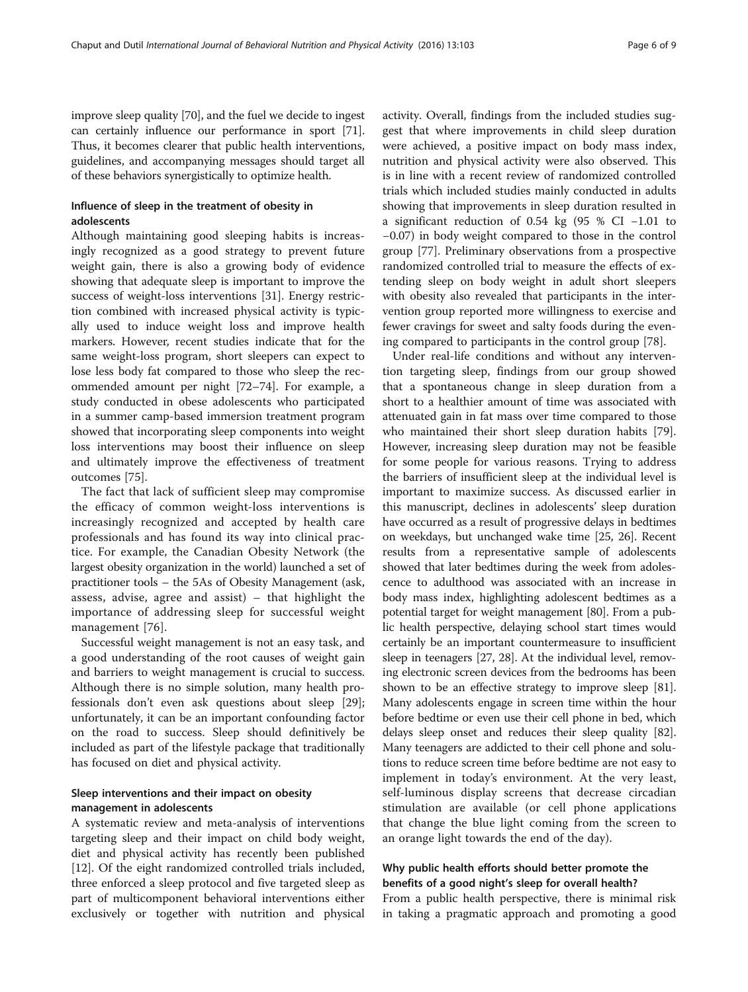improve sleep quality [\[70\]](#page-8-0), and the fuel we decide to ingest can certainly influence our performance in sport [[71](#page-8-0)]. Thus, it becomes clearer that public health interventions, guidelines, and accompanying messages should target all of these behaviors synergistically to optimize health.

### Influence of sleep in the treatment of obesity in adolescents

Although maintaining good sleeping habits is increasingly recognized as a good strategy to prevent future weight gain, there is also a growing body of evidence showing that adequate sleep is important to improve the success of weight-loss interventions [\[31\]](#page-7-0). Energy restriction combined with increased physical activity is typically used to induce weight loss and improve health markers. However, recent studies indicate that for the same weight-loss program, short sleepers can expect to lose less body fat compared to those who sleep the recommended amount per night [\[72](#page-8-0)–[74\]](#page-8-0). For example, a study conducted in obese adolescents who participated in a summer camp-based immersion treatment program showed that incorporating sleep components into weight loss interventions may boost their influence on sleep and ultimately improve the effectiveness of treatment outcomes [\[75](#page-8-0)].

The fact that lack of sufficient sleep may compromise the efficacy of common weight-loss interventions is increasingly recognized and accepted by health care professionals and has found its way into clinical practice. For example, the Canadian Obesity Network (the largest obesity organization in the world) launched a set of practitioner tools – the 5As of Obesity Management (ask, assess, advise, agree and assist) – that highlight the importance of addressing sleep for successful weight management [\[76\]](#page-8-0).

Successful weight management is not an easy task, and a good understanding of the root causes of weight gain and barriers to weight management is crucial to success. Although there is no simple solution, many health professionals don't even ask questions about sleep [\[29](#page-7-0)]; unfortunately, it can be an important confounding factor on the road to success. Sleep should definitively be included as part of the lifestyle package that traditionally has focused on diet and physical activity.

#### Sleep interventions and their impact on obesity management in adolescents

A systematic review and meta-analysis of interventions targeting sleep and their impact on child body weight, diet and physical activity has recently been published [[12\]](#page-7-0). Of the eight randomized controlled trials included, three enforced a sleep protocol and five targeted sleep as part of multicomponent behavioral interventions either exclusively or together with nutrition and physical activity. Overall, findings from the included studies suggest that where improvements in child sleep duration were achieved, a positive impact on body mass index, nutrition and physical activity were also observed. This is in line with a recent review of randomized controlled trials which included studies mainly conducted in adults showing that improvements in sleep duration resulted in a significant reduction of 0.54 kg (95 % CI −1.01 to −0.07) in body weight compared to those in the control group [[77](#page-8-0)]. Preliminary observations from a prospective randomized controlled trial to measure the effects of extending sleep on body weight in adult short sleepers with obesity also revealed that participants in the intervention group reported more willingness to exercise and fewer cravings for sweet and salty foods during the evening compared to participants in the control group [[78](#page-8-0)].

Under real-life conditions and without any intervention targeting sleep, findings from our group showed that a spontaneous change in sleep duration from a short to a healthier amount of time was associated with attenuated gain in fat mass over time compared to those who maintained their short sleep duration habits [\[79](#page-8-0)]. However, increasing sleep duration may not be feasible for some people for various reasons. Trying to address the barriers of insufficient sleep at the individual level is important to maximize success. As discussed earlier in this manuscript, declines in adolescents' sleep duration have occurred as a result of progressive delays in bedtimes on weekdays, but unchanged wake time [[25](#page-7-0), [26](#page-7-0)]. Recent results from a representative sample of adolescents showed that later bedtimes during the week from adolescence to adulthood was associated with an increase in body mass index, highlighting adolescent bedtimes as a potential target for weight management [\[80\]](#page-8-0). From a public health perspective, delaying school start times would certainly be an important countermeasure to insufficient sleep in teenagers [\[27](#page-7-0), [28\]](#page-7-0). At the individual level, removing electronic screen devices from the bedrooms has been shown to be an effective strategy to improve sleep [[81](#page-8-0)]. Many adolescents engage in screen time within the hour before bedtime or even use their cell phone in bed, which delays sleep onset and reduces their sleep quality [[82](#page-8-0)]. Many teenagers are addicted to their cell phone and solutions to reduce screen time before bedtime are not easy to implement in today's environment. At the very least, self-luminous display screens that decrease circadian stimulation are available (or cell phone applications that change the blue light coming from the screen to an orange light towards the end of the day).

#### Why public health efforts should better promote the benefits of a good night's sleep for overall health?

From a public health perspective, there is minimal risk in taking a pragmatic approach and promoting a good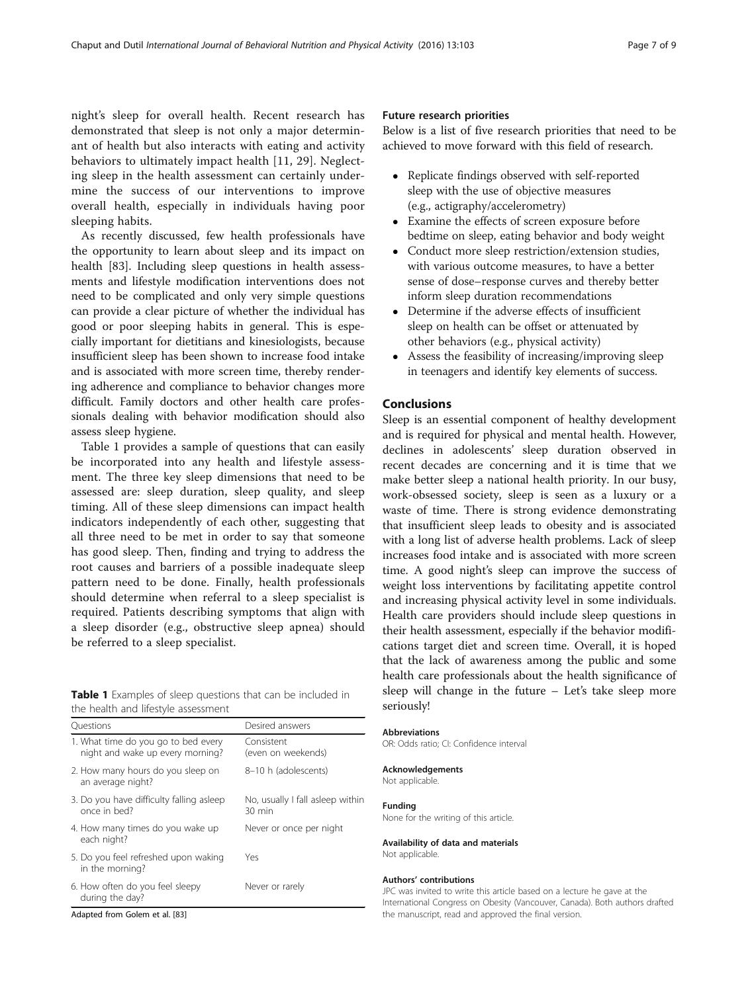night's sleep for overall health. Recent research has demonstrated that sleep is not only a major determinant of health but also interacts with eating and activity behaviors to ultimately impact health [[11, 29](#page-7-0)]. Neglecting sleep in the health assessment can certainly undermine the success of our interventions to improve overall health, especially in individuals having poor sleeping habits.

As recently discussed, few health professionals have the opportunity to learn about sleep and its impact on health [[83](#page-8-0)]. Including sleep questions in health assessments and lifestyle modification interventions does not need to be complicated and only very simple questions can provide a clear picture of whether the individual has good or poor sleeping habits in general. This is especially important for dietitians and kinesiologists, because insufficient sleep has been shown to increase food intake and is associated with more screen time, thereby rendering adherence and compliance to behavior changes more difficult. Family doctors and other health care professionals dealing with behavior modification should also assess sleep hygiene.

Table 1 provides a sample of questions that can easily be incorporated into any health and lifestyle assessment. The three key sleep dimensions that need to be assessed are: sleep duration, sleep quality, and sleep timing. All of these sleep dimensions can impact health indicators independently of each other, suggesting that all three need to be met in order to say that someone has good sleep. Then, finding and trying to address the root causes and barriers of a possible inadequate sleep pattern need to be done. Finally, health professionals should determine when referral to a sleep specialist is required. Patients describing symptoms that align with a sleep disorder (e.g., obstructive sleep apnea) should be referred to a sleep specialist.

Table 1 Examples of sleep questions that can be included in the health and lifestyle assessment

| Ouestions                                                               | Desired answers                                      |
|-------------------------------------------------------------------------|------------------------------------------------------|
| 1. What time do you go to bed every<br>night and wake up every morning? | Consistent<br>(even on weekends)                     |
| 2. How many hours do you sleep on<br>an average night?                  | 8-10 h (adolescents)                                 |
| 3. Do you have difficulty falling asleep<br>once in hed?                | No, usually I fall asleep within<br>$30 \text{ min}$ |
| 4. How many times do you wake up<br>each night?                         | Never or once per night                              |
| 5. Do you feel refreshed upon waking<br>in the morning?                 | Yes                                                  |
| 6. How often do you feel sleepy<br>during the day?                      | Never or rarely                                      |

Adapted from Golem et al. [[83\]](#page-8-0)

#### Future research priorities

Below is a list of five research priorities that need to be achieved to move forward with this field of research.

- Replicate findings observed with self-reported sleep with the use of objective measures (e.g., actigraphy/accelerometry)
- Examine the effects of screen exposure before bedtime on sleep, eating behavior and body weight
- Conduct more sleep restriction/extension studies, with various outcome measures, to have a better sense of dose–response curves and thereby better inform sleep duration recommendations
- Determine if the adverse effects of insufficient sleep on health can be offset or attenuated by other behaviors (e.g., physical activity)
- Assess the feasibility of increasing/improving sleep in teenagers and identify key elements of success.

#### Conclusions

Sleep is an essential component of healthy development and is required for physical and mental health. However, declines in adolescents' sleep duration observed in recent decades are concerning and it is time that we make better sleep a national health priority. In our busy, work-obsessed society, sleep is seen as a luxury or a waste of time. There is strong evidence demonstrating that insufficient sleep leads to obesity and is associated with a long list of adverse health problems. Lack of sleep increases food intake and is associated with more screen time. A good night's sleep can improve the success of weight loss interventions by facilitating appetite control and increasing physical activity level in some individuals. Health care providers should include sleep questions in their health assessment, especially if the behavior modifications target diet and screen time. Overall, it is hoped that the lack of awareness among the public and some health care professionals about the health significance of sleep will change in the future – Let's take sleep more seriously!

#### Abbreviations

OR: Odds ratio; CI: Confidence interval

#### Acknowledgements

Not applicable.

# Funding

None for the writing of this article.

# Availability of data and materials

Not applicable.

#### Authors' contributions

JPC was invited to write this article based on a lecture he gave at the International Congress on Obesity (Vancouver, Canada). Both authors drafted the manuscript, read and approved the final version.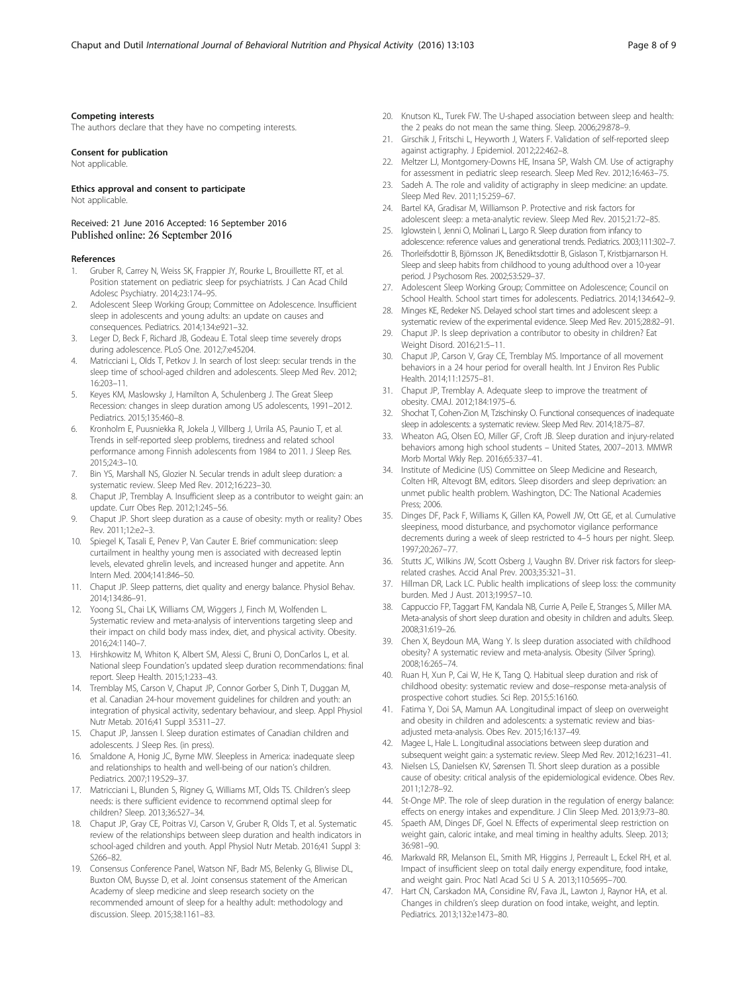#### <span id="page-7-0"></span>Competing interests

The authors declare that they have no competing interests.

#### Consent for publication

Not applicable.

#### Ethics approval and consent to participate Not applicable.

Received: 21 June 2016 Accepted: 16 September 2016 Published online: 26 September 2016

#### References

- Gruber R, Carrey N, Weiss SK, Frappier JY, Rourke L, Brouillette RT, et al. Position statement on pediatric sleep for psychiatrists. J Can Acad Child Adolesc Psychiatry. 2014;23:174–95.
- 2. Adolescent Sleep Working Group; Committee on Adolescence. Insufficient sleep in adolescents and young adults: an update on causes and consequences. Pediatrics. 2014;134:e921–32.
- 3. Leger D, Beck F, Richard JB, Godeau E. Total sleep time severely drops during adolescence. PLoS One. 2012;7:e45204.
- 4. Matricciani L, Olds T, Petkov J. In search of lost sleep: secular trends in the sleep time of school-aged children and adolescents. Sleep Med Rev. 2012; 16:203–11.
- 5. Keyes KM, Maslowsky J, Hamilton A, Schulenberg J. The Great Sleep Recession: changes in sleep duration among US adolescents, 1991–2012. Pediatrics. 2015;135:460–8.
- Kronholm E, Puusniekka R, Jokela J, Villberg J, Urrila AS, Paunio T, et al. Trends in self-reported sleep problems, tiredness and related school performance among Finnish adolescents from 1984 to 2011. J Sleep Res. 2015;24:3–10.
- 7. Bin YS, Marshall NS, Glozier N. Secular trends in adult sleep duration: a systematic review. Sleep Med Rev. 2012;16:223–30.
- 8. Chaput JP, Tremblay A. Insufficient sleep as a contributor to weight gain: an update. Curr Obes Rep. 2012;1:245–56.
- 9. Chaput JP. Short sleep duration as a cause of obesity: myth or reality? Obes Rev. 2011;12:e2–3.
- 10. Spiegel K, Tasali E, Penev P, Van Cauter E. Brief communication: sleep curtailment in healthy young men is associated with decreased leptin levels, elevated ghrelin levels, and increased hunger and appetite. Ann Intern Med. 2004;141:846–50.
- 11. Chaput JP. Sleep patterns, diet quality and energy balance. Physiol Behav. 2014;134:86–91.
- 12. Yoong SL, Chai LK, Williams CM, Wiggers J, Finch M, Wolfenden L. Systematic review and meta-analysis of interventions targeting sleep and their impact on child body mass index, diet, and physical activity. Obesity. 2016;24:1140–7.
- 13. Hirshkowitz M, Whiton K, Albert SM, Alessi C, Bruni O, DonCarlos L, et al. National sleep Foundation's updated sleep duration recommendations: final report. Sleep Health. 2015;1:233–43.
- 14. Tremblay MS, Carson V, Chaput JP, Connor Gorber S, Dinh T, Duggan M, et al. Canadian 24-hour movement guidelines for children and youth: an integration of physical activity, sedentary behaviour, and sleep. Appl Physiol Nutr Metab. 2016;41 Suppl 3:S311–27.
- 15. Chaput JP, Janssen I. Sleep duration estimates of Canadian children and adolescents. J Sleep Res. (in press).
- 16. Smaldone A, Honig JC, Byrne MW. Sleepless in America: inadequate sleep and relationships to health and well-being of our nation's children. Pediatrics. 2007;119:S29–37.
- 17. Matricciani L, Blunden S, Rigney G, Williams MT, Olds TS. Children's sleep needs: is there sufficient evidence to recommend optimal sleep for children? Sleep. 2013;36:527–34.
- 18. Chaput JP, Gray CE, Poitras VJ, Carson V, Gruber R, Olds T, et al. Systematic review of the relationships between sleep duration and health indicators in school-aged children and youth. Appl Physiol Nutr Metab. 2016;41 Suppl 3: S266–82.
- 19. Consensus Conference Panel, Watson NF, Badr MS, Belenky G, Bliwise DL, Buxton OM, Buysse D, et al. Joint consensus statement of the American Academy of sleep medicine and sleep research society on the recommended amount of sleep for a healthy adult: methodology and discussion. Sleep. 2015;38:1161–83.
- 20. Knutson KL, Turek FW. The U-shaped association between sleep and health: the 2 peaks do not mean the same thing. Sleep. 2006;29:878–9.
- 21. Girschik J, Fritschi L, Heyworth J, Waters F. Validation of self-reported sleep against actigraphy. J Epidemiol. 2012;22:462–8.
- 22. Meltzer LJ, Montgomery-Downs HE, Insana SP, Walsh CM. Use of actigraphy for assessment in pediatric sleep research. Sleep Med Rev. 2012;16:463–75.
- 23. Sadeh A. The role and validity of actigraphy in sleep medicine: an update. Sleep Med Rev. 2011;15:259–67.
- 24. Bartel KA, Gradisar M, Williamson P. Protective and risk factors for adolescent sleep: a meta-analytic review. Sleep Med Rev. 2015;21:72–85.
- 25. Iglowstein I, Jenni O, Molinari L, Largo R. Sleep duration from infancy to adolescence: reference values and generational trends. Pediatrics. 2003;111:302–7.
- 26. Thorleifsdottir B, Björnsson JK, Benediktsdottir B, Gislason T, Kristbjarnarson H. Sleep and sleep habits from childhood to young adulthood over a 10-year period. J Psychosom Res. 2002;53:529–37.
- 27. Adolescent Sleep Working Group; Committee on Adolescence; Council on School Health. School start times for adolescents. Pediatrics. 2014;134:642–9.
- 28. Minges KE, Redeker NS. Delayed school start times and adolescent sleep: a systematic review of the experimental evidence. Sleep Med Rev. 2015;28:82–91.
- 29. Chaput JP. Is sleep deprivation a contributor to obesity in children? Eat Weight Disord. 2016;21:5–11.
- 30. Chaput JP, Carson V, Gray CE, Tremblay MS. Importance of all movement behaviors in a 24 hour period for overall health. Int J Environ Res Public Health. 2014;11:12575–81.
- 31. Chaput JP, Tremblay A. Adequate sleep to improve the treatment of obesity. CMAJ. 2012;184:1975–6.
- 32. Shochat T, Cohen-Zion M, Tzischinsky O. Functional consequences of inadequate sleep in adolescents: a systematic review. Sleep Med Rev. 2014;18:75–87.
- 33. Wheaton AG, Olsen EO, Miller GF, Croft JB. Sleep duration and injury-related behaviors among high school students – United States, 2007–2013. MMWR Morb Mortal Wkly Rep. 2016;65:337–41.
- 34. Institute of Medicine (US) Committee on Sleep Medicine and Research, Colten HR, Altevogt BM, editors. Sleep disorders and sleep deprivation: an unmet public health problem. Washington, DC: The National Academies Press; 2006.
- 35. Dinges DF, Pack F, Williams K, Gillen KA, Powell JW, Ott GE, et al. Cumulative sleepiness, mood disturbance, and psychomotor vigilance performance decrements during a week of sleep restricted to 4–5 hours per night. Sleep. 1997;20:267–77.
- 36. Stutts JC, Wilkins JW, Scott Osberg J, Vaughn BV. Driver risk factors for sleeprelated crashes. Accid Anal Prev. 2003;35:321–31.
- 37. Hillman DR, Lack LC. Public health implications of sleep loss: the community burden. Med J Aust. 2013;199:S7–10.
- 38. Cappuccio FP, Taggart FM, Kandala NB, Currie A, Peile E, Stranges S, Miller MA. Meta-analysis of short sleep duration and obesity in children and adults. Sleep. 2008;31:619–26.
- 39. Chen X, Beydoun MA, Wang Y. Is sleep duration associated with childhood obesity? A systematic review and meta-analysis. Obesity (Silver Spring). 2008;16:265–74.
- 40. Ruan H, Xun P, Cai W, He K, Tang Q. Habitual sleep duration and risk of childhood obesity: systematic review and dose–response meta-analysis of prospective cohort studies. Sci Rep. 2015;5:16160.
- 41. Fatima Y, Doi SA, Mamun AA. Longitudinal impact of sleep on overweight and obesity in children and adolescents: a systematic review and biasadjusted meta-analysis. Obes Rev. 2015;16:137–49.
- 42. Magee L, Hale L. Longitudinal associations between sleep duration and subsequent weight gain: a systematic review. Sleep Med Rev. 2012;16:231–41.
- 43. Nielsen LS, Danielsen KV, Sørensen TI. Short sleep duration as a possible cause of obesity: critical analysis of the epidemiological evidence. Obes Rev. 2011;12:78–92.
- 44. St-Onge MP. The role of sleep duration in the regulation of energy balance: effects on energy intakes and expenditure. J Clin Sleep Med. 2013;9:73–80.
- 45. Spaeth AM, Dinges DF, Goel N. Effects of experimental sleep restriction on weight gain, caloric intake, and meal timing in healthy adults. Sleep. 2013; 36:981–90.
- 46. Markwald RR, Melanson EL, Smith MR, Higgins J, Perreault L, Eckel RH, et al. Impact of insufficient sleep on total daily energy expenditure, food intake, and weight gain. Proc Natl Acad Sci U S A. 2013;110:5695–700.
- 47. Hart CN, Carskadon MA, Considine RV, Fava JL, Lawton J, Raynor HA, et al. Changes in children's sleep duration on food intake, weight, and leptin. Pediatrics. 2013;132:e1473–80.